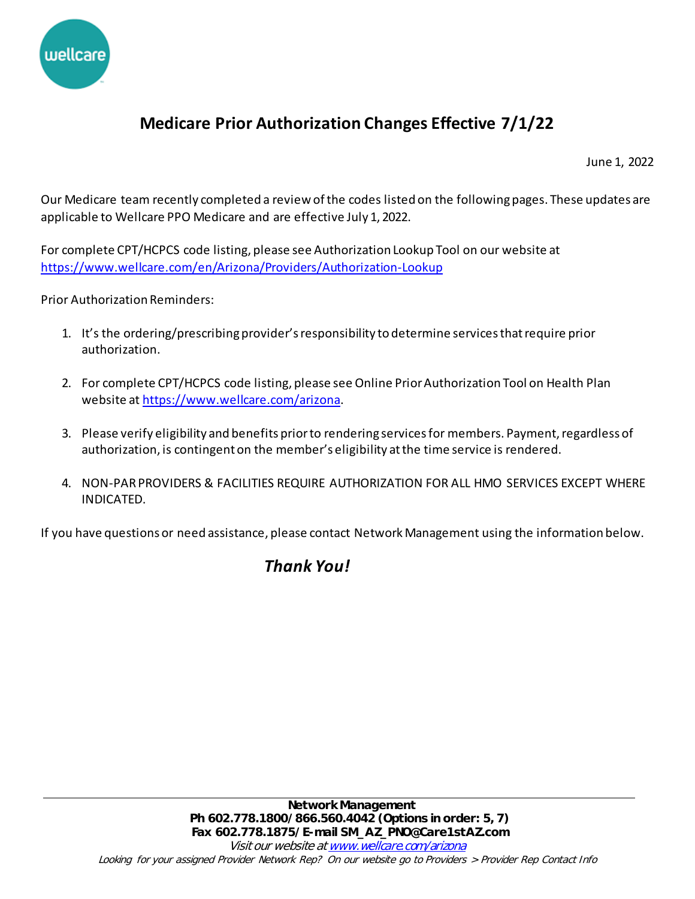

## **Medicare Prior Authorization Changes Effective 7/1/22**

June 1, 2022

Our Medicare team recently completed a review of the codes listed on the following pages. These updates are applicable to Wellcare PPO Medicare and are effective July 1, 2022.

For complete CPT/HCPCS code listing, please see Authorization Lookup Tool on our website at <https://www.wellcare.com/en/Arizona/Providers/Authorization-Lookup>

Prior Authorization Reminders:

- 1. It's the ordering/prescribing provider's responsibility to determine services that require prior authorization.
- 2. For complete CPT/HCPCS code listing, please see Online Prior Authorization Tool on Health Plan website a[t https://www.wellcare.com/arizona](https://www.wellcare.com/arizona).
- 3. Please verify eligibility and benefits prior to rendering services for members. Payment, regardless of authorization, is contingent on the member's eligibility at the time service is rendered.
- 4. NON-PAR PROVIDERS & FACILITIES REQUIRE AUTHORIZATION FOR ALL HMO SERVICES EXCEPT WHERE INDICATED.

If you have questions or need assistance, please contact Network Management using the information below.

## *Thank You!*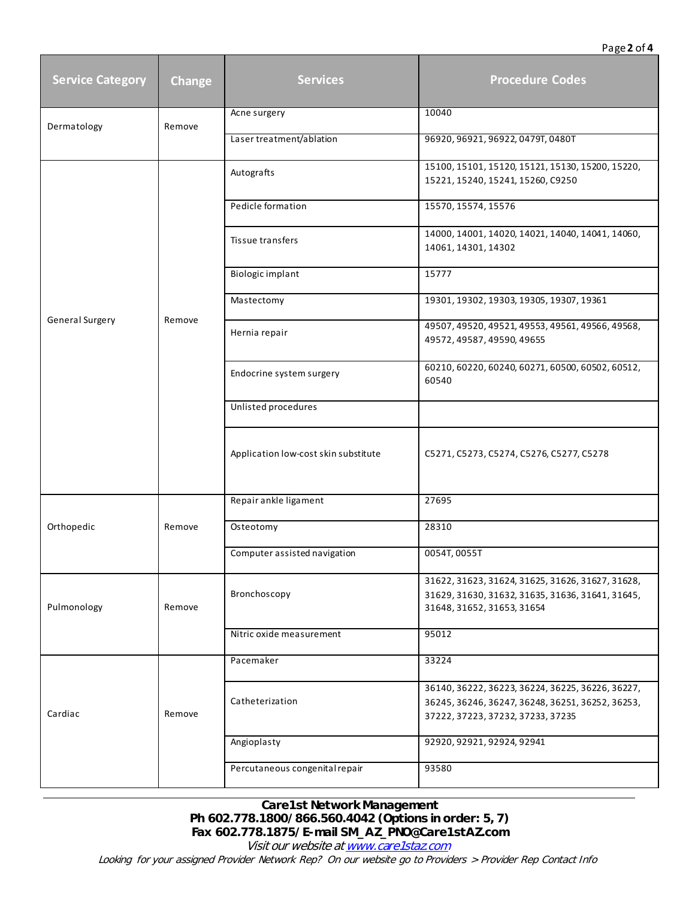## Page **2** of **4**

| <b>Service Category</b> | Change | <b>Services</b>                      | <b>Procedure Codes</b>                                                                                                                    |
|-------------------------|--------|--------------------------------------|-------------------------------------------------------------------------------------------------------------------------------------------|
| Dermatology             | Remove | Acne surgery                         | 10040                                                                                                                                     |
|                         |        | Laser treatment/ablation             | 96920, 96921, 96922, 0479T, 0480T                                                                                                         |
| General Surgery         | Remove | Autografts                           | 15100, 15101, 15120, 15121, 15130, 15200, 15220,<br>15221, 15240, 15241, 15260, C9250                                                     |
|                         |        | Pedicle formation                    | 15570, 15574, 15576                                                                                                                       |
|                         |        | Tissue transfers                     | 14000, 14001, 14020, 14021, 14040, 14041, 14060,<br>14061, 14301, 14302                                                                   |
|                         |        | Biologic implant                     | 15777                                                                                                                                     |
|                         |        | Mastectomy                           | 19301, 19302, 19303, 19305, 19307, 19361                                                                                                  |
|                         |        | Hernia repair                        | 49507, 49520, 49521, 49553, 49561, 49566, 49568,<br>49572, 49587, 49590, 49655                                                            |
|                         |        | Endocrine system surgery             | 60210, 60220, 60240, 60271, 60500, 60502, 60512,<br>60540                                                                                 |
|                         |        | Unlisted procedures                  |                                                                                                                                           |
|                         |        | Application low-cost skin substitute | C5271, C5273, C5274, C5276, C5277, C5278                                                                                                  |
| Orthopedic              | Remove | Repair ankle ligament                | 27695                                                                                                                                     |
|                         |        | Osteotomy                            | 28310                                                                                                                                     |
|                         |        | Computer assisted navigation         | 0054T, 0055T                                                                                                                              |
| Pulmonology             | Remove | Bronchoscopy                         | 31622, 31623, 31624, 31625, 31626, 31627, 31628,<br>31629, 31630, 31632, 31635, 31636, 31641, 31645,<br>31648, 31652, 31653, 31654        |
|                         |        | Nitric oxide measurement             | 95012                                                                                                                                     |
| Cardiac                 | Remove | Pacemaker                            | 33224                                                                                                                                     |
|                         |        | Catheterization                      | 36140, 36222, 36223, 36224, 36225, 36226, 36227,<br>36245, 36246, 36247, 36248, 36251, 36252, 36253,<br>37222, 37223, 37232, 37233, 37235 |
|                         |        | Angioplasty                          | 92920, 92921, 92924, 92941                                                                                                                |
|                         |        | Percutaneous congenital repair       | 93580                                                                                                                                     |

**Care1st Network Management Ph 602.778.1800/866.560.4042 (Options in order: 5, 7) Fax 602.778.1875/E-mail SM\_AZ\_PNO@Care1stAZ.com** 

Visit our website at www.care1staz.com Looking for your assigned Provider Network Rep? On our website go to Providers > Provider Rep Contact Info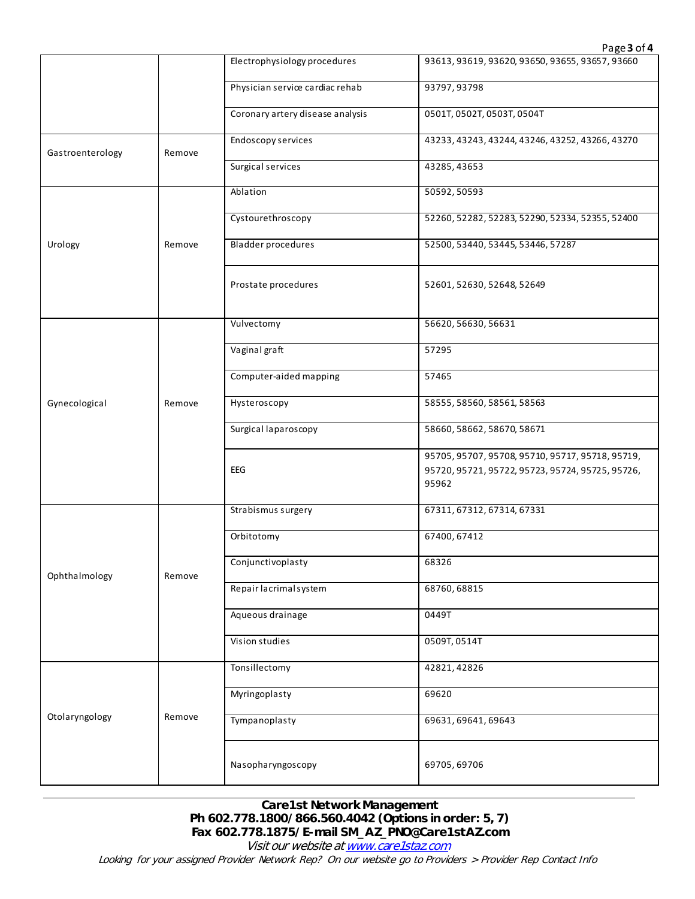|                  |        |                                  | Page 3 of 4                                                                                                   |
|------------------|--------|----------------------------------|---------------------------------------------------------------------------------------------------------------|
|                  |        | Electrophysiology procedures     | 93613, 93619, 93620, 93650, 93655, 93657, 93660                                                               |
|                  |        | Physician service cardiac rehab  | 93797, 93798                                                                                                  |
|                  |        | Coronary artery disease analysis | 0501T, 0502T, 0503T, 0504T                                                                                    |
| Gastroenterology | Remove | Endoscopy services               | 43233, 43243, 43244, 43246, 43252, 43266, 43270                                                               |
|                  |        | Surgical services                | 43285, 43653                                                                                                  |
| Urology          |        | Ablation                         | 50592, 50593                                                                                                  |
|                  |        | Cystourethroscopy                | 52260, 52282, 52283, 52290, 52334, 52355, 52400                                                               |
|                  | Remove | <b>Bladder procedures</b>        | 52500, 53440, 53445, 53446, 57287                                                                             |
|                  |        | Prostate procedures              | 52601, 52630, 52648, 52649                                                                                    |
|                  |        | Vulvectomy                       | 56620, 56630, 56631                                                                                           |
|                  |        | Vaginal graft                    | 57295                                                                                                         |
|                  |        | Computer-aided mapping           | 57465                                                                                                         |
| Gynecological    | Remove | Hysteroscopy                     | 58555, 58560, 58561, 58563                                                                                    |
|                  |        | Surgical laparoscopy             | 58660, 58662, 58670, 58671                                                                                    |
|                  |        | EEG                              | 95705, 95707, 95708, 95710, 95717, 95718, 95719,<br>95720, 95721, 95722, 95723, 95724, 95725, 95726,<br>95962 |
|                  |        | Strabismus surgery               | 67311, 67312, 67314, 67331                                                                                    |
| Ophthalmology    |        | Orbitotomy                       | 67400, 67412                                                                                                  |
|                  | Remove | Conjunctivoplasty                | 68326                                                                                                         |
|                  |        | Repair lacrimal system           | 68760,68815                                                                                                   |
|                  |        | Aqueous drainage                 | 0449T                                                                                                         |
|                  |        | Vision studies                   | 0509T, 0514T                                                                                                  |
| Otolaryngology   |        | Tonsillectomy                    | 42821, 42826                                                                                                  |
|                  |        | Myringoplasty                    | 69620                                                                                                         |
|                  | Remove | Tympanoplasty                    | 69631, 69641, 69643                                                                                           |
|                  |        | Nasopharyngoscopy                | 69705, 69706                                                                                                  |

## **Care1st Network Management Ph 602.778.1800/866.560.4042 (Options in order: 5, 7) Fax 602.778.1875/E-mail SM\_AZ\_PNO@Care1stAZ.com**

Visit our website at www.care1staz.com Looking for your assigned Provider Network Rep? On our website go to Providers > Provider Rep Contact Info